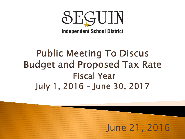

**Independent School District** 

# **Public Meeting To Discus Budget and Proposed Tax Rate Fiscal Year** July 1, 2016 - June 30, 2017

## June 21, 2016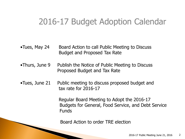## 2016-17 Budget Adoption Calendar

- •Tues, May 24 Board Action to call Public Meeting to Discuss Budget and Proposed Tax Rate
- •Thurs, June 9 Publish the Notice of Public Meeting to Discuss Proposed Budget and Tax Rate
- •Tues, June 21 Public meeting to discuss proposed budget and tax rate for 2016-17

Regular Board Meeting to Adopt the 2016-17 Budgets for General, Food Service, and Debt Service **Funds** 

Board Action to order TRE election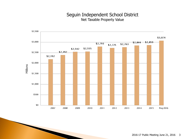## Seguin Independent School District Net Taxable Property Value

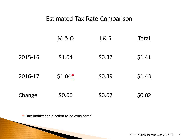## Estimated Tax Rate Comparison

|         | <b>M&amp;O</b> | 1 & S  | Total  |
|---------|----------------|--------|--------|
| 2015-16 | \$1.04         | \$0.37 | \$1.41 |
| 2016-17 | $$1.04*$       | \$0.39 | \$1.43 |
| Change  | \$0.00         | \$0.02 | \$0.02 |

**\*** Tax Ratification election to be considered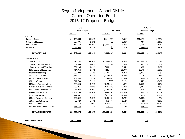## Seguin Independent School District General Operating Fund 2016-17 Proposed Budget

|                                | 2015-16               |                 |                |                 | 2016-17         |                 |  |
|--------------------------------|-----------------------|-----------------|----------------|-----------------|-----------------|-----------------|--|
|                                | <b>Current Budget</b> |                 | Difference     |                 | Proposed Budget |                 |  |
|                                | Amount                | $\frac{\%}{\%}$ | Inc/(Decr)     | $\frac{\%}{\%}$ | Amount          | $\frac{\%}{\%}$ |  |
| <b>REVENUE</b>                 |                       |                 |                |                 |                 |                 |  |
| <b>Property Taxes</b>          | \$29,153,000          | 51.20%          | \$1,023,954    | 3.51%           | \$30,176,954    | 53.55%          |  |
| <b>Other Local Sources</b>     | 937,775               | 1.65%           | \$0            | 0.00%           | 937,775         | 1.66%           |  |
| <b>State Sources</b>           | 25,169,564            | 44.20%          | (51,612,252)   | $-6.41%$        | 23,557,312      | 41.80%          |  |
| <b>Federal Sources</b>         | 1,682,000             | 2.95%           | <u>\$0</u>     | 0.00%           | 1,682,000       | 2.98%           |  |
| <b>TOTAL REVENUE</b>           | \$56,942,339          | 100.00%         | (5588, 298)    | $-1.03%$        | \$56,354,041    | 100.00%         |  |
| <b>EXPENDITURES</b>            |                       |                 |                |                 |                 |                 |  |
| 11 Instruction                 | \$33,231,257          | 55.70%          | ( \$1,832,049) | $-5.51%$        | \$31,399,208    | 55.72%          |  |
| 12 Instr Resources/Media Svcs  | 881,485               | 1.48%           | \$8,641        | 0.98%           | 890,126         | 1.58%           |  |
| 13 Curr & Inst Staff Develop   | 1,081,136             | 1.81%           | ( \$91, 201)   | $-8.44%$        | 989,935         | 1.76%           |  |
| 21 Instructional Leadership    | 1,414,764             | 2.37%           | ( \$240,064)   | $-16.97%$       | 1,174,700       | 2.08%           |  |
| 23 School Leadership           | 4,069,007             | 6.82%           | (5172, 873)    | $-4.25%$        | 3,896,134       | 6.91%           |  |
| 31 Guidance & Counseling       | 2,219,273             | 3.72%           | ( \$117,016)   | $-5.27%$        | 2,102,257       | 3.73%           |  |
| 32 Social Work Services        | 368,880               | 0.62%           | (53,400)       | $-0.92%$        | 365,480         | 0.65%           |  |
| 33 Health Services             | 541,733               | 0.91%           | \$650          | 0.12%           | 542,383         | 0.96%           |  |
| 34 Student Transportation      | 2,784,546             | 4.67%           | (\$124,500)    | $-4.47%$        | 2,660,046       | 4.72%           |  |
| 36 Extra-curricular Activities | 1,759,056             | 2.95%           | \$190,146      | 10.81%          | 1,949,202       | 3.46%           |  |
| 41 General Administration      | 1,968,034             | 3.30%           | ( \$176,600)   | $-8.97%$        | 1,791,434       | 3.18%           |  |
| 51 Plant Maintenance           | 6,858,456             | 11.50%          | ( \$933, 160)  | $-13.61%$       | 5,925,296       | 10.51%          |  |
| 52 Security Services           | 427,351               | 0.72%           | ( \$20,654)    | $-4.83%$        | 406,697         | 0.72%           |  |
| 53 Data Processing Services    | 1,502,842             | 2.52%           | ( \$101, 953)  | $-6.78%$        | 1,400,889       | 2.49%           |  |
| 61 Community Services          | 86,329                | 0.14%           | (51,400)       | $-1.62%$        | 84,929          | 0.15%           |  |
| 71 Debt Service                | 0                     | 0.00%           | \$300,000      | 100.00%         | 300,000         | 0.53%           |  |
| 99 Other Governmental Charges  | 465,325               | 0.78%           | \$10,000       | 2.15%           | 475,325         | 0.84%           |  |
| <b>TOTAL EXPENDITURES</b>      | \$59,659,474          | 100.00%         | ( \$3,305,433) | $-5.54%$        | \$56,354,041    | 100.00%         |  |
| <b>Net Activity for Year</b>   | (52,717,135)          |                 | \$2.717.135    |                 | \$0             |                 |  |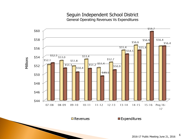### Seguin Independent School District General Operating Revenues Vs Expenditures



 $\blacksquare$  Revenues

 $\square$  Expenditures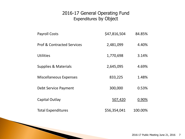## 2016-17 General Operating Fund Expenditures by Object

| <b>Payroll Costs</b>                  | \$47,816,504 | 84.85%  |
|---------------------------------------|--------------|---------|
| <b>Prof &amp; Contracted Services</b> | 2,481,099    | 4.40%   |
| <b>Utilities</b>                      | 1,770,698    | 3.14%   |
| <b>Supplies &amp; Materials</b>       | 2,645,095    | 4.69%   |
| <b>Miscellaneous Expenses</b>         | 833,225      | 1.48%   |
| Debt Service Payment                  | 300,000      | 0.53%   |
| Capital Outlay                        | 507,420      | 0.90%   |
| <b>Total Expenditures</b>             | \$56,354,041 | 100.00% |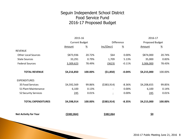## Seguin Independent School District Food Service Fund 2016-17 Proposed Budget

|                              | 2015-16               |                  |                          |                       | 2016-17         |                       |
|------------------------------|-----------------------|------------------|--------------------------|-----------------------|-----------------|-----------------------|
|                              | <b>Current Budget</b> |                  | <b>Difference</b>        |                       | Proposed Budget |                       |
|                              | Amount                | $\underline{\%}$ | Inc/(Decr)               | $\frac{\%}{\sqrt{2}}$ | Amount          | $\frac{\%}{\sqrt{2}}$ |
| <b>REVENUE</b>               |                       |                  |                          |                       |                 |                       |
| <b>Other Local Sources</b>   | \$873,936             | 20.72%           | \$64                     | 0.00%                 | \$874,000       | 20.74%                |
| <b>State Sources</b>         | 33,291                | 0.79%            | 1,709                    | 5.13%                 | 35,000          | 0.83%                 |
| <b>Federal Sources</b>       | 3,309,623             | 78.49%           | (3623)                   | $-0.11%$              | 3,306,000       | 78.43%                |
| <b>TOTAL REVENUE</b>         | \$4,216,850           | 100.00%          | (51,850)                 | $-0.04%$              | \$4,215,000     | 100.00%               |
| <b>EXPENDITURES</b>          |                       |                  |                          |                       |                 |                       |
| 35 Food Services             | \$4,592,569           | 99.86%           | ( \$383, 914)            | $-8.36%$              | \$4,208,655     | 99.85%                |
| 51 Plant Maintenance         | 6,100                 | 0.13%            | $\overline{\phantom{0}}$ | 0.00%                 | 6,100           | 0.14%                 |
| 52 Security Services         | 245                   | 0.01%            | $\overline{\phantom{a}}$ | 0.00%                 | 245             | 0.01%                 |
| <b>TOTAL EXPENDITURES</b>    | \$4,598,914           | 100.00%          | ( \$383, 914)            | $-8.35%$              | \$4,215,000     | 100.00%               |
| <b>Net Activity for Year</b> | ( \$382,064)          |                  | \$382,064                |                       | <u>\$0</u>      |                       |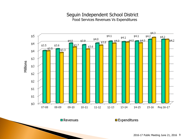#### Seguin Independent School District Food Services Revenues Vs Expenditures



 $\blacksquare$  Revenues

 $\square$  Expenditures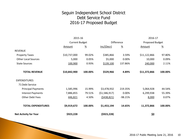## Seguin Independent School District Debt Service Fund 2016-17 Proposed Budget

| <b>Net Activity for Year</b> | \$923,228             |                  | (\$923,228)  |                 | <u>\$0</u>             |               |  |
|------------------------------|-----------------------|------------------|--------------|-----------------|------------------------|---------------|--|
| <b>TOTAL EXPENDITURES</b>    | \$9,919,672           | 100.00%          | \$1,453,194  | 14.65%          | 11,372,866             | 100.00%       |  |
| <b>Other Debt Fees</b>       | 446,821               | 4.50%            | (5438, 821)  | $-98.21%$       | 8,000                  | 0.07%         |  |
| <b>Interest Payments</b>     | 7,886,855             | 79.51%           | (51,586,917) | 0.00%           | 6,299,938              | 55.39%        |  |
| <b>Principal Payments</b>    | 1,585,996             | 15.99%           | \$3,478,932  | 219.35%         | 5,064,928              | 44.54%        |  |
| 71 Debt Service              |                       |                  |              |                 |                        |               |  |
| <b>EXPENDITURES</b>          |                       |                  |              |                 |                        |               |  |
| <b>TOTAL REVENUE</b>         | \$10,842,900          | 100.00%          | \$529,966    | 4.89%           | \$11,372,866           | 100.00%       |  |
| <b>State Sources</b>         | 100,900               | 0.93%            | \$139,100    | 137.86%         | 240,000                | 2.11%         |  |
| <b>Other Local Sources</b>   | 5,000                 | 0.05%            | \$5,000      | 0.00%           | 10,000                 | 0.09%         |  |
| <b>Property Taxes</b>        | \$10,737,000          | 99.02%           | \$385,866    | 3.59%           | \$11,122,866           | 97.80%        |  |
| <b>REVENUE</b>               |                       |                  |              |                 |                        |               |  |
|                              | Amount                | $\underline{\%}$ | Inc/(Decr)   | $\frac{\%}{\%}$ | Amount                 | $\frac{9}{6}$ |  |
|                              | <b>Current Budget</b> |                  |              | Difference      | <b>Proposed Budget</b> |               |  |
|                              | 2015-16               |                  |              |                 | 2016-17                |               |  |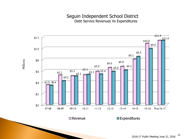#### Seguin Independent School District Debt Service Revenues Vs Expenditures